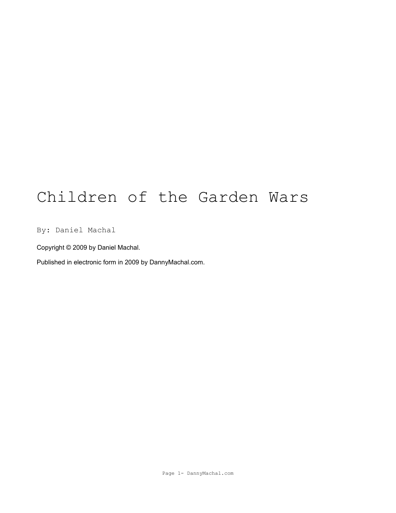# Children of the Garden Wars

By: Daniel Machal

Copyright © 2009 by Daniel Machal.

Published in electronic form in 2009 by DannyMachal.com.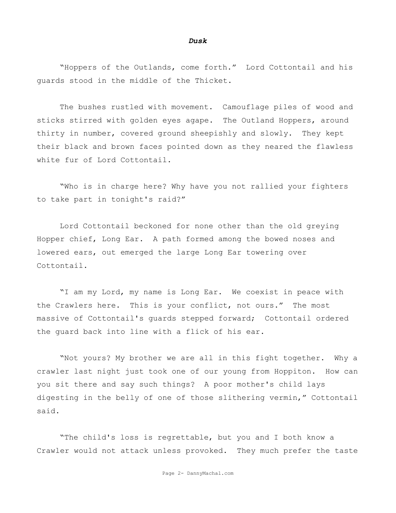#### *Dusk*

"Hoppers of the Outlands, come forth." Lord Cottontail and his guards stood in the middle of the Thicket.

The bushes rustled with movement. Camouflage piles of wood and sticks stirred with golden eyes agape. The Outland Hoppers, around thirty in number, covered ground sheepishly and slowly. They kept their black and brown faces pointed down as they neared the flawless white fur of Lord Cottontail.

"Who is in charge here? Why have you not rallied your fighters to take part in tonight's raid?"

Lord Cottontail beckoned for none other than the old greying Hopper chief, Long Ear. A path formed among the bowed noses and lowered ears, out emerged the large Long Ear towering over Cottontail.

"I am my Lord, my name is Long Ear. We coexist in peace with the Crawlers here. This is your conflict, not ours." The most massive of Cottontail's guards stepped forward; Cottontail ordered the guard back into line with a flick of his ear.

"Not yours? My brother we are all in this fight together. Why a crawler last night just took one of our young from Hoppiton. How can you sit there and say such things? A poor mother's child lays digesting in the belly of one of those slithering vermin," Cottontail said.

"The child's loss is regrettable, but you and I both know a Crawler would not attack unless provoked. They much prefer the taste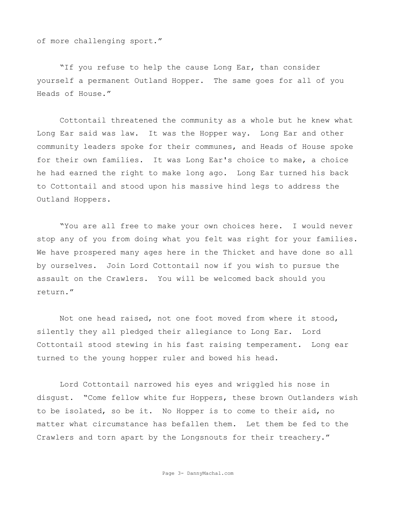of more challenging sport."

"If you refuse to help the cause Long Ear, than consider yourself a permanent Outland Hopper. The same goes for all of you Heads of House."

Cottontail threatened the community as a whole but he knew what Long Ear said was law. It was the Hopper way. Long Ear and other community leaders spoke for their communes, and Heads of House spoke for their own families. It was Long Ear's choice to make, a choice he had earned the right to make long ago. Long Ear turned his back to Cottontail and stood upon his massive hind legs to address the Outland Hoppers.

"You are all free to make your own choices here. I would never stop any of you from doing what you felt was right for your families. We have prospered many ages here in the Thicket and have done so all by ourselves. Join Lord Cottontail now if you wish to pursue the assault on the Crawlers. You will be welcomed back should you return."

Not one head raised, not one foot moved from where it stood, silently they all pledged their allegiance to Long Ear. Lord Cottontail stood stewing in his fast raising temperament. Long ear turned to the young hopper ruler and bowed his head.

Lord Cottontail narrowed his eyes and wriggled his nose in disgust. "Come fellow white fur Hoppers, these brown Outlanders wish to be isolated, so be it. No Hopper is to come to their aid, no matter what circumstance has befallen them. Let them be fed to the Crawlers and torn apart by the Longsnouts for their treachery."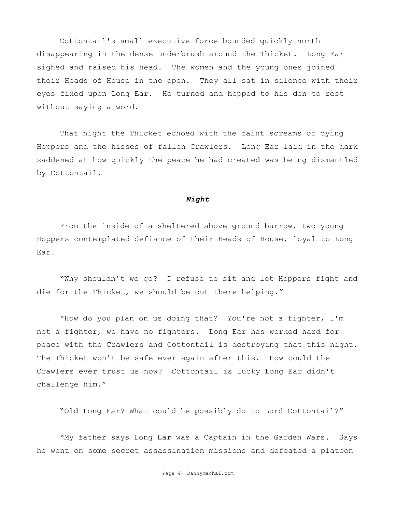Cottontail's small executive force bounded quickly north disappearing in the dense underbrush around the Thicket. Long Ear sighed and raised his head. The women and the young ones joined their Heads of House in the open. They all sat in silence with their eyes fixed upon Long Ear. He turned and hopped to his den to rest without saying a word.

That night the Thicket echoed with the faint screams of dying Hoppers and the hisses of fallen Crawlers. Long Ear laid in the dark saddened at how quickly the peace he had created was being dismantled by Cottontail.

## *Night*

From the inside of a sheltered above ground burrow, two young Hoppers contemplated defiance of their Heads of House, loyal to Long Ear.

"Why shouldn't we go? I refuse to sit and let Hoppers fight and die for the Thicket, we should be out there helping."

"How do you plan on us doing that? You're not a fighter, I'm not a fighter, we have no fighters. Long Ear has worked hard for peace with the Crawlers and Cottontail is destroying that this night. The Thicket won't be safe ever again after this. How could the Crawlers ever trust us now? Cottontail is lucky Long Ear didn't challenge him."

"Old Long Ear? What could he possibly do to Lord Cottontail?"

"My father says Long Ear was a Captain in the Garden Wars. Says he went on some secret assassination missions and defeated a platoon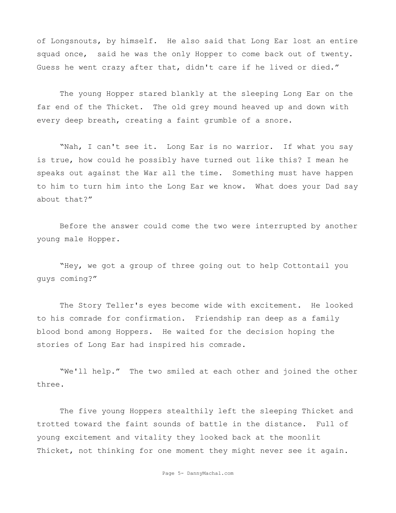of Longsnouts, by himself. He also said that Long Ear lost an entire squad once, said he was the only Hopper to come back out of twenty. Guess he went crazy after that, didn't care if he lived or died."

The young Hopper stared blankly at the sleeping Long Ear on the far end of the Thicket. The old grey mound heaved up and down with every deep breath, creating a faint grumble of a snore.

"Nah, I can't see it. Long Ear is no warrior. If what you say is true, how could he possibly have turned out like this? I mean he speaks out against the War all the time. Something must have happen to him to turn him into the Long Ear we know. What does your Dad say about that?"

Before the answer could come the two were interrupted by another young male Hopper.

"Hey, we got a group of three going out to help Cottontail you guys coming?"

The Story Teller's eyes become wide with excitement. He looked to his comrade for confirmation. Friendship ran deep as a family blood bond among Hoppers. He waited for the decision hoping the stories of Long Ear had inspired his comrade.

"We'll help." The two smiled at each other and joined the other three.

The five young Hoppers stealthily left the sleeping Thicket and trotted toward the faint sounds of battle in the distance. Full of young excitement and vitality they looked back at the moonlit Thicket, not thinking for one moment they might never see it again.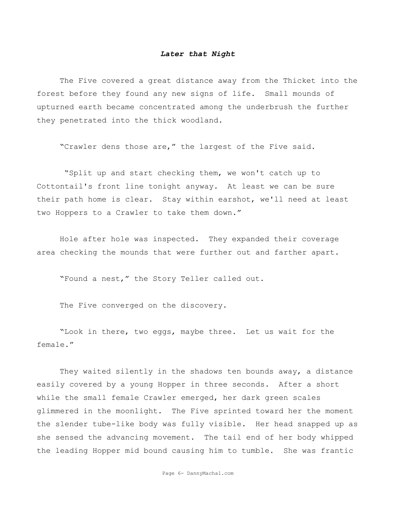### *Later that Night*

The Five covered a great distance away from the Thicket into the forest before they found any new signs of life. Small mounds of upturned earth became concentrated among the underbrush the further they penetrated into the thick woodland.

"Crawler dens those are," the largest of the Five said.

 "Split up and start checking them, we won't catch up to Cottontail's front line tonight anyway. At least we can be sure their path home is clear. Stay within earshot, we'll need at least two Hoppers to a Crawler to take them down."

Hole after hole was inspected. They expanded their coverage area checking the mounds that were further out and farther apart.

"Found a nest," the Story Teller called out.

The Five converged on the discovery.

"Look in there, two eggs, maybe three. Let us wait for the female."

They waited silently in the shadows ten bounds away, a distance easily covered by a young Hopper in three seconds. After a short while the small female Crawler emerged, her dark green scales glimmered in the moonlight. The Five sprinted toward her the moment the slender tube-like body was fully visible. Her head snapped up as she sensed the advancing movement. The tail end of her body whipped the leading Hopper mid bound causing him to tumble. She was frantic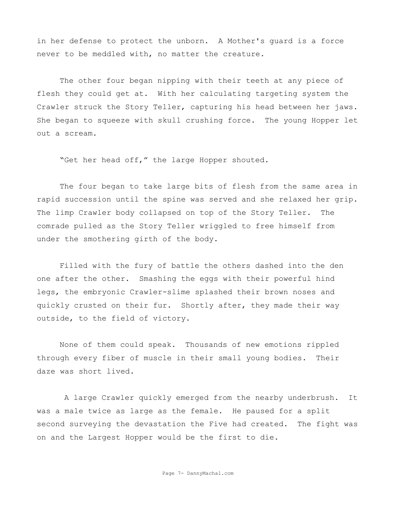in her defense to protect the unborn. A Mother's guard is a force never to be meddled with, no matter the creature.

The other four began nipping with their teeth at any piece of flesh they could get at. With her calculating targeting system the Crawler struck the Story Teller, capturing his head between her jaws. She began to squeeze with skull crushing force. The young Hopper let out a scream.

"Get her head off," the large Hopper shouted.

The four began to take large bits of flesh from the same area in rapid succession until the spine was served and she relaxed her grip. The limp Crawler body collapsed on top of the Story Teller. The comrade pulled as the Story Teller wriggled to free himself from under the smothering girth of the body.

Filled with the fury of battle the others dashed into the den one after the other. Smashing the eggs with their powerful hind legs, the embryonic Crawler-slime splashed their brown noses and quickly crusted on their fur. Shortly after, they made their way outside, to the field of victory.

None of them could speak. Thousands of new emotions rippled through every fiber of muscle in their small young bodies. Their daze was short lived.

 A large Crawler quickly emerged from the nearby underbrush. It was a male twice as large as the female. He paused for a split second surveying the devastation the Five had created. The fight was on and the Largest Hopper would be the first to die.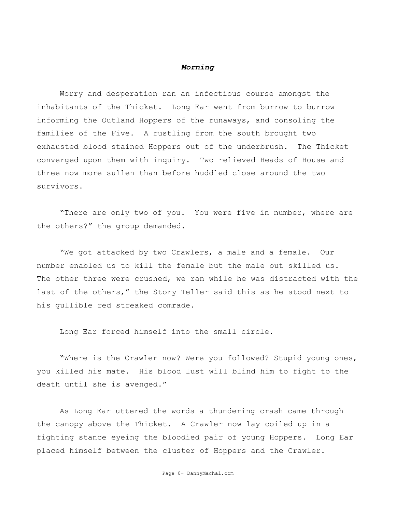## *Morning*

Worry and desperation ran an infectious course amongst the inhabitants of the Thicket. Long Ear went from burrow to burrow informing the Outland Hoppers of the runaways, and consoling the families of the Five. A rustling from the south brought two exhausted blood stained Hoppers out of the underbrush. The Thicket converged upon them with inquiry. Two relieved Heads of House and three now more sullen than before huddled close around the two survivors.

"There are only two of you. You were five in number, where are the others?" the group demanded.

"We got attacked by two Crawlers, a male and a female. Our number enabled us to kill the female but the male out skilled us. The other three were crushed, we ran while he was distracted with the last of the others," the Story Teller said this as he stood next to his gullible red streaked comrade.

Long Ear forced himself into the small circle.

"Where is the Crawler now? Were you followed? Stupid young ones, you killed his mate. His blood lust will blind him to fight to the death until she is avenged."

As Long Ear uttered the words a thundering crash came through the canopy above the Thicket. A Crawler now lay coiled up in a fighting stance eyeing the bloodied pair of young Hoppers. Long Ear placed himself between the cluster of Hoppers and the Crawler.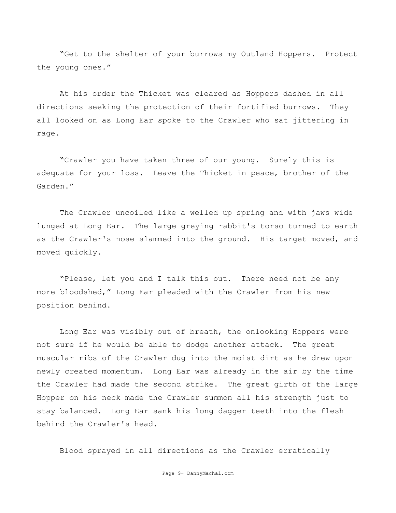"Get to the shelter of your burrows my Outland Hoppers. Protect the young ones."

At his order the Thicket was cleared as Hoppers dashed in all directions seeking the protection of their fortified burrows. They all looked on as Long Ear spoke to the Crawler who sat jittering in rage.

"Crawler you have taken three of our young. Surely this is adequate for your loss. Leave the Thicket in peace, brother of the Garden."

The Crawler uncoiled like a welled up spring and with jaws wide lunged at Long Ear. The large greying rabbit's torso turned to earth as the Crawler's nose slammed into the ground. His target moved, and moved quickly.

"Please, let you and I talk this out. There need not be any more bloodshed," Long Ear pleaded with the Crawler from his new position behind.

Long Ear was visibly out of breath, the onlooking Hoppers were not sure if he would be able to dodge another attack. The great muscular ribs of the Crawler dug into the moist dirt as he drew upon newly created momentum. Long Ear was already in the air by the time the Crawler had made the second strike. The great girth of the large Hopper on his neck made the Crawler summon all his strength just to stay balanced. Long Ear sank his long dagger teeth into the flesh behind the Crawler's head.

Blood sprayed in all directions as the Crawler erratically